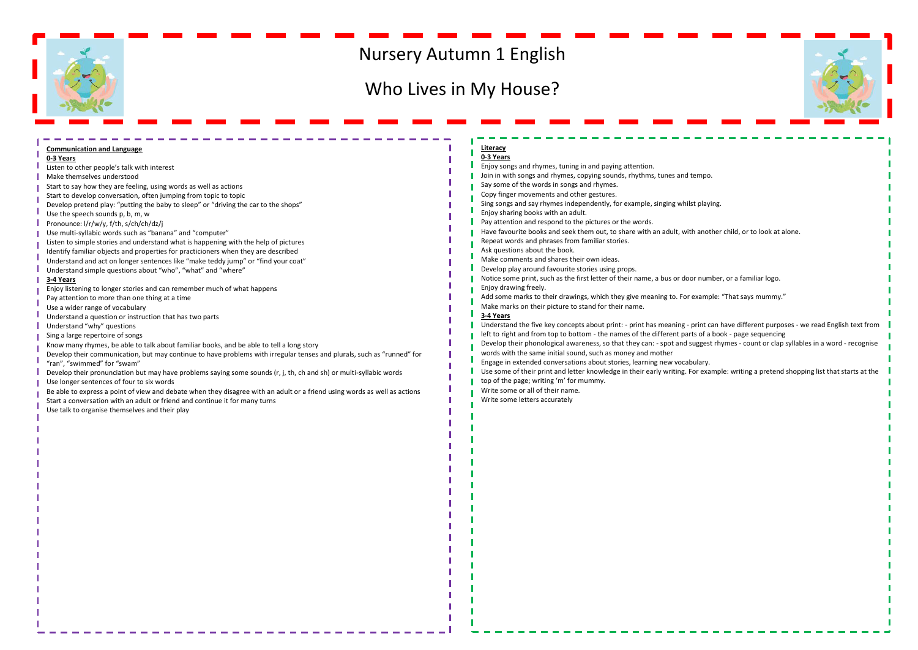

## Nursery Autumn 1 English

## Who Lives in My House?



| <b>Communication and Language</b>                                                                                         | Literacy                                                                                                                             |  |
|---------------------------------------------------------------------------------------------------------------------------|--------------------------------------------------------------------------------------------------------------------------------------|--|
| 0-3 Years                                                                                                                 | 0-3 Years                                                                                                                            |  |
| Listen to other people's talk with interest                                                                               | Enjoy songs and rhymes, tuning in and paying attention.                                                                              |  |
| Make themselves understood                                                                                                | Join in with songs and rhymes, copying sounds, rhythms, tunes and tempo.                                                             |  |
| Start to say how they are feeling, using words as well as actions                                                         | Say some of the words in songs and rhymes.                                                                                           |  |
| Start to develop conversation, often jumping from topic to topic                                                          | Copy finger movements and other gestures.                                                                                            |  |
| Develop pretend play: "putting the baby to sleep" or "driving the car to the shops"                                       | Sing songs and say rhymes independently, for example, singing whilst playing.                                                        |  |
| Use the speech sounds p, b, m, w                                                                                          | Enjoy sharing books with an adult.                                                                                                   |  |
| Pronounce: I/r/w/y, f/th, s/ch/ch/dz/j                                                                                    | Pay attention and respond to the pictures or the words.                                                                              |  |
| Use multi-syllabic words such as "banana" and "computer"                                                                  | Have favourite books and seek them out, to share with an adult, with another child, or to look at alone.                             |  |
| Listen to simple stories and understand what is happening with the help of pictures                                       | Repeat words and phrases from familiar stories.                                                                                      |  |
| Identify familiar objects and properties for practicioners when they are described                                        | Ask questions about the book.                                                                                                        |  |
| Understand and act on longer sentences like "make teddy jump" or "find your coat"                                         | Make comments and shares their own ideas.                                                                                            |  |
| Understand simple questions about "who", "what" and "where"                                                               | Develop play around favourite stories using props.                                                                                   |  |
| 3-4 Years                                                                                                                 | Notice some print, such as the first letter of their name, a bus or door number, or a familiar logo.                                 |  |
| Enjoy listening to longer stories and can remember much of what happens                                                   | Enjoy drawing freely.                                                                                                                |  |
| Pay attention to more than one thing at a time                                                                            | ".Add some marks to their drawings, which they give meaning to. For example: "That says mummy."                                      |  |
| Use a wider range of vocabulary                                                                                           | Make marks on their picture to stand for their name.                                                                                 |  |
| Understand a question or instruction that has two parts                                                                   | 3-4 Years                                                                                                                            |  |
| Understand "why" questions                                                                                                | Understand the five key concepts about print: - print has meaning - print can have different purposes - we read English text from    |  |
| Sing a large repertoire of songs                                                                                          | left to right and from top to bottom - the names of the different parts of a book - page sequencing                                  |  |
| Know many rhymes, be able to talk about familiar books, and be able to tell a long story                                  | Develop their phonological awareness, so that they can: - spot and suggest rhymes - count or clap syllables in a word - recognise    |  |
| Develop their communication, but may continue to have problems with irregular tenses and plurals, such as "runned" for    | words with the same initial sound, such as money and mother                                                                          |  |
| "ran". "swimmed" for "swam"                                                                                               | Engage in extended conversations about stories, learning new vocabulary.                                                             |  |
| Develop their pronunciation but may have problems saying some sounds (r, j, th, ch and sh) or multi-syllabic words        | Use some of their print and letter knowledge in their early writing. For example: writing a pretend shopping list that starts at the |  |
| Use longer sentences of four to six words                                                                                 | top of the page; writing 'm' for mummy.                                                                                              |  |
| Be able to express a point of view and debate when they disagree with an adult or a friend using words as well as actions | Write some or all of their name.                                                                                                     |  |
| Start a conversation with an adult or friend and continue it for many turns                                               | Write some letters accurately                                                                                                        |  |
| Use talk to organise themselves and their play                                                                            |                                                                                                                                      |  |
|                                                                                                                           |                                                                                                                                      |  |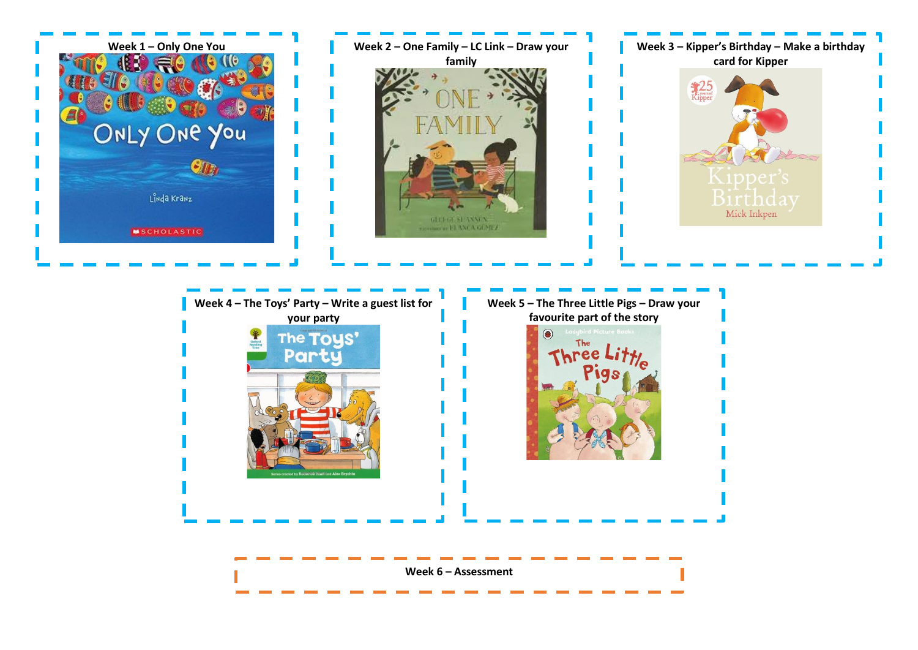